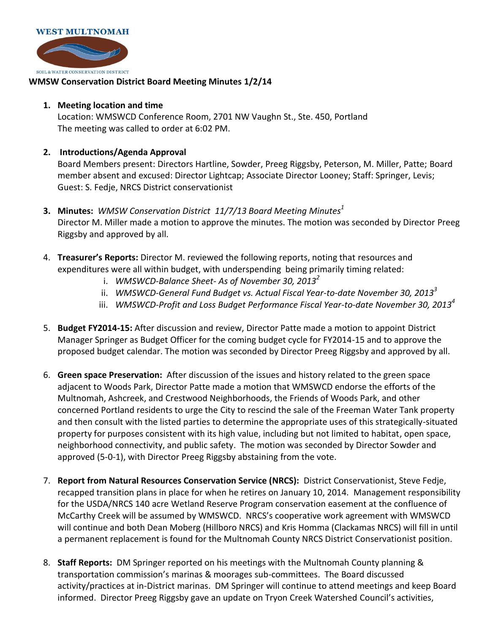

## **WMSW Conservation District Board Meeting Minutes 1/2/14**

## **1. Meeting location and time**

Location: WMSWCD Conference Room, 2701 NW Vaughn St., Ste. 450, Portland The meeting was called to order at 6:02 PM.

## **2. Introductions/Agenda Approval**

Board Members present: Directors Hartline, Sowder, Preeg Riggsby, Peterson, M. Miller, Patte; Board member absent and excused: Director Lightcap; Associate Director Looney; Staff: Springer, Levis; Guest: S. Fedje, NRCS District conservationist

- **3. Minutes:** *WMSW Conservation District 11/7/13 Board Meeting Minutes<sup>1</sup>* Director M. Miller made a motion to approve the minutes. The motion was seconded by Director Preeg Riggsby and approved by all.
- 4. **Treasurer's Reports:** Director M. reviewed the following reports, noting that resources and expenditures were all within budget, with underspending being primarily timing related:
	- i. *WMSWCD-Balance Sheet- As of November 30, 2013<sup>2</sup>*
	- ii. *WMSWCD-General Fund Budget vs. Actual Fiscal Year-to-date November 30, 2013<sup>3</sup>*
	- iii. *WMSWCD-Profit and Loss Budget Performance Fiscal Year-to-date November 30, 2013<sup>4</sup>*
- 5. **Budget FY2014-15:** After discussion and review, Director Patte made a motion to appoint District Manager Springer as Budget Officer for the coming budget cycle for FY2014-15 and to approve the proposed budget calendar. The motion was seconded by Director Preeg Riggsby and approved by all.
- 6. **Green space Preservation:** After discussion of the issues and history related to the green space adjacent to Woods Park, Director Patte made a motion that WMSWCD endorse the efforts of the Multnomah, Ashcreek, and Crestwood Neighborhoods, the Friends of Woods Park, and other concerned Portland residents to urge the City to rescind the sale of the Freeman Water Tank property and then consult with the listed parties to determine the appropriate uses of this strategically-situated property for purposes consistent with its high value, including but not limited to habitat, open space, neighborhood connectivity, and public safety. The motion was seconded by Director Sowder and approved (5-0-1), with Director Preeg Riggsby abstaining from the vote.
- 7. **Report from Natural Resources Conservation Service (NRCS):** District Conservationist, Steve Fedje, recapped transition plans in place for when he retires on January 10, 2014. Management responsibility for the USDA/NRCS 140 acre Wetland Reserve Program conservation easement at the confluence of McCarthy Creek will be assumed by WMSWCD. NRCS's cooperative work agreement with WMSWCD will continue and both Dean Moberg (Hillboro NRCS) and Kris Homma (Clackamas NRCS) will fill in until a permanent replacement is found for the Multnomah County NRCS District Conservationist position.
- 8. **Staff Reports:** DM Springer reported on his meetings with the Multnomah County planning & transportation commission's marinas & moorages sub-committees. The Board discussed activity/practices at in-District marinas. DM Springer will continue to attend meetings and keep Board informed. Director Preeg Riggsby gave an update on Tryon Creek Watershed Council's activities,